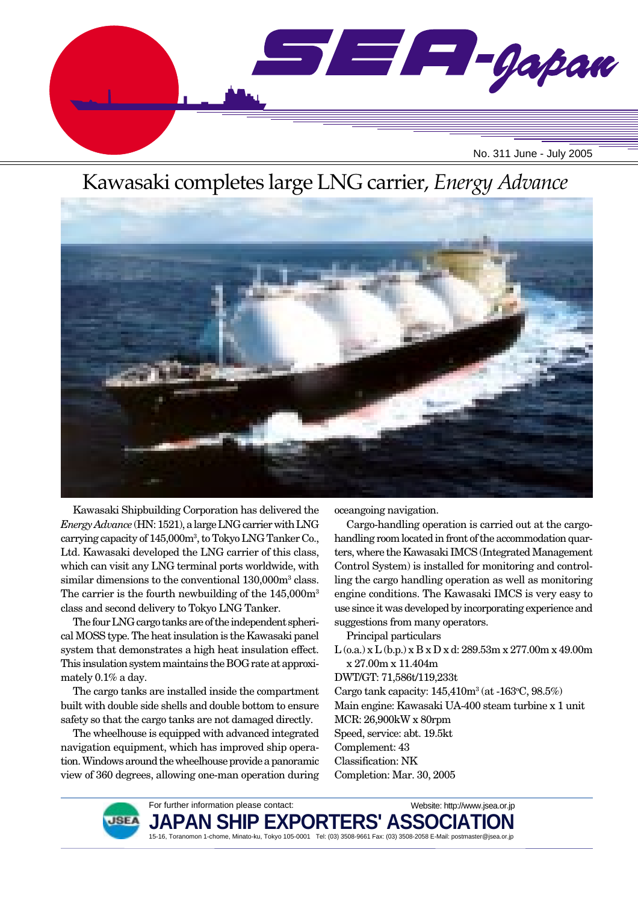

# Kawasaki completes large LNG carrier, *Energy Advance*



Kawasaki Shipbuilding Corporation has delivered the *Energy Advance* (HN: 1521), a large LNG carrier with LNG carrying capacity of 145,000m3 , to Tokyo LNG Tanker Co., Ltd. Kawasaki developed the LNG carrier of this class, which can visit any LNG terminal ports worldwide, with similar dimensions to the conventional 130,000m<sup>3</sup> class. The carrier is the fourth newbuilding of the  $145,000\,\mathrm{m}^3$ class and second delivery to Tokyo LNG Tanker.

The four LNG cargo tanks are of the independent spherical MOSS type. The heat insulation is the Kawasaki panel system that demonstrates a high heat insulation effect. This insulation system maintains the BOG rate at approximately 0.1% a day.

The cargo tanks are installed inside the compartment built with double side shells and double bottom to ensure safety so that the cargo tanks are not damaged directly.

The wheelhouse is equipped with advanced integrated navigation equipment, which has improved ship operation. Windows around the wheelhouse provide a panoramic view of 360 degrees, allowing one-man operation during oceangoing navigation.

Cargo-handling operation is carried out at the cargohandling room located in front of the accommodation quarters, where the Kawasaki IMCS (Integrated Management Control System) is installed for monitoring and controlling the cargo handling operation as well as monitoring engine conditions. The Kawasaki IMCS is very easy to use since it was developed by incorporating experience and suggestions from many operators.

Principal particulars

L (o.a.) x L (b.p.) x B x D x d: 289.53m x 277.00m x 49.00m x 27.00m x 11.404m

DWT/GT: 71,586t/119,233t

Cargo tank capacity:  $145,410m^3$  (at  $-163^\circ$ C,  $98.5\%)$ Main engine: Kawasaki UA-400 steam turbine x 1 unit MCR: 26,900kW x 80rpm Speed, service: abt. 19.5kt Complement: 43 Classification: NK Completion: Mar. 30, 2005



For further information please contact: **JAPAN SHIP EXPORTERS' ASSO** 15-16, Toranomon 1-chome, Minato-ku, Tokyo 105-0001 Tel: (03) 3508-9661 Fax: (03) 3508-2058 E-Mail: postmaster@jsea.or.jp Website: http://www.jsea.or.jp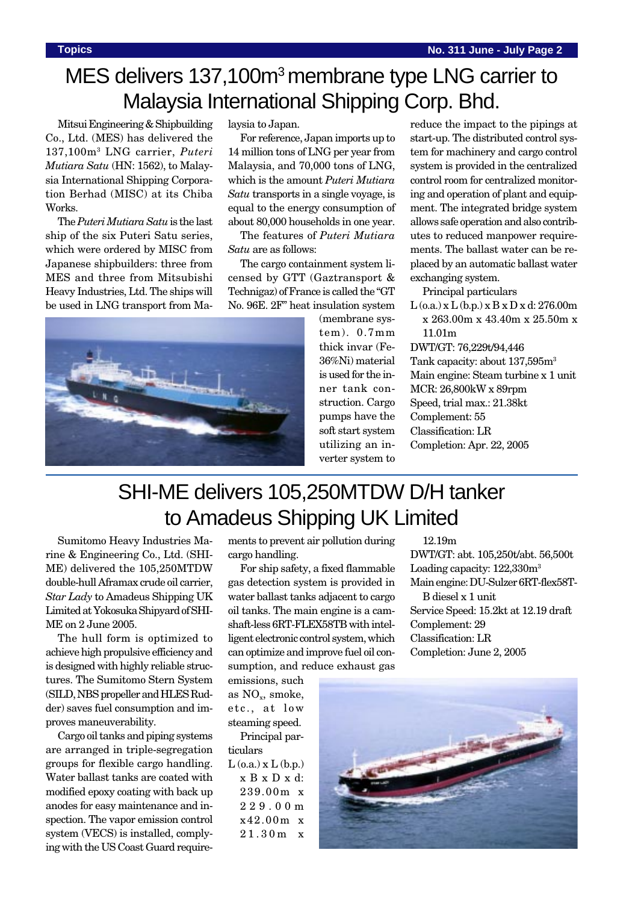# MES delivers 137,100m<sup>3</sup> membrane type LNG carrier to Malaysia International Shipping Corp. Bhd.

Mitsui Engineering & Shipbuilding Co., Ltd. (MES) has delivered the 137,100m3 LNG carrier, *Puteri Mutiara Satu* (HN: 1562), to Malaysia International Shipping Corporation Berhad (MISC) at its Chiba Works.

The *Puteri Mutiara Satu* is the last ship of the six Puteri Satu series, which were ordered by MISC from Japanese shipbuilders: three from MES and three from Mitsubishi Heavy Industries, Ltd. The ships will be used in LNG transport from Malaysia to Japan.

For reference, Japan imports up to 14 million tons of LNG per year from Malaysia, and 70,000 tons of LNG, which is the amount *Puteri Mutiara Satu* transports in a single voyage, is equal to the energy consumption of about 80,000 households in one year.

The features of *Puteri Mutiara Satu* are as follows:

The cargo containment system licensed by GTT (Gaztransport & Technigaz) of France is called the "GT No. 96E. 2F" heat insulation system



(membrane system). 0.7mm thick invar (Fe-36%Ni) material is used for the inner tank construction. Cargo pumps have the soft start system utilizing an inverter system to

reduce the impact to the pipings at start-up. The distributed control system for machinery and cargo control system is provided in the centralized control room for centralized monitoring and operation of plant and equipment. The integrated bridge system allows safe operation and also contributes to reduced manpower requirements. The ballast water can be replaced by an automatic ballast water exchanging system.

Principal particulars

 $L$  (o.a.) x  $L$  (b.p.) x  $B$  x  $D$  x d: 276.00m x 263.00m x 43.40m x 25.50m x 11.01m

DWT/GT: 76,229t/94,446 Tank capacity: about 137,595m3 Main engine: Steam turbine x 1 unit MCR: 26,800kW x 89rpm Speed, trial max.: 21.38kt Complement: 55 Classification: LR Completion: Apr. 22, 2005

# SHI-ME delivers 105,250MTDW D/H tanker to Amadeus Shipping UK Limited

Sumitomo Heavy Industries Marine & Engineering Co., Ltd. (SHI-ME) delivered the 105,250MTDW double-hull Aframax crude oil carrier, *Star Lady* to Amadeus Shipping UK Limited at Yokosuka Shipyard of SHI-ME on 2 June 2005.

The hull form is optimized to achieve high propulsive efficiency and is designed with highly reliable structures. The Sumitomo Stern System (SILD, NBS propeller and HLES Rudder) saves fuel consumption and improves maneuverability.

Cargo oil tanks and piping systems are arranged in triple-segregation groups for flexible cargo handling. Water ballast tanks are coated with modified epoxy coating with back up anodes for easy maintenance and inspection. The vapor emission control system (VECS) is installed, complying with the US Coast Guard requirements to prevent air pollution during cargo handling.

For ship safety, a fixed flammable gas detection system is provided in water ballast tanks adjacent to cargo oil tanks. The main engine is a camshaft-less 6RT-FLEX58TB with intelligent electronic control system, which can optimize and improve fuel oil consumption, and reduce exhaust gas

emissions, such as  $NO<sub>x</sub>$ , smoke, etc., at low steaming speed.

Principal particulars  $L$  (o.a.)  $x L$  (b.p.)

x B x D x d: 239.00m x 229.00m x42.00m x 21.30m x

12.19m

DWT/GT: abt. 105,250t/abt. 56,500t Loading capacity:  $122,330m<sup>3</sup>$ Main engine: DU-Sulzer 6RT-flex58T-

B diesel x 1 unit Service Speed: 15.2kt at 12.19 draft Complement: 29 Classification: LR Completion: June 2, 2005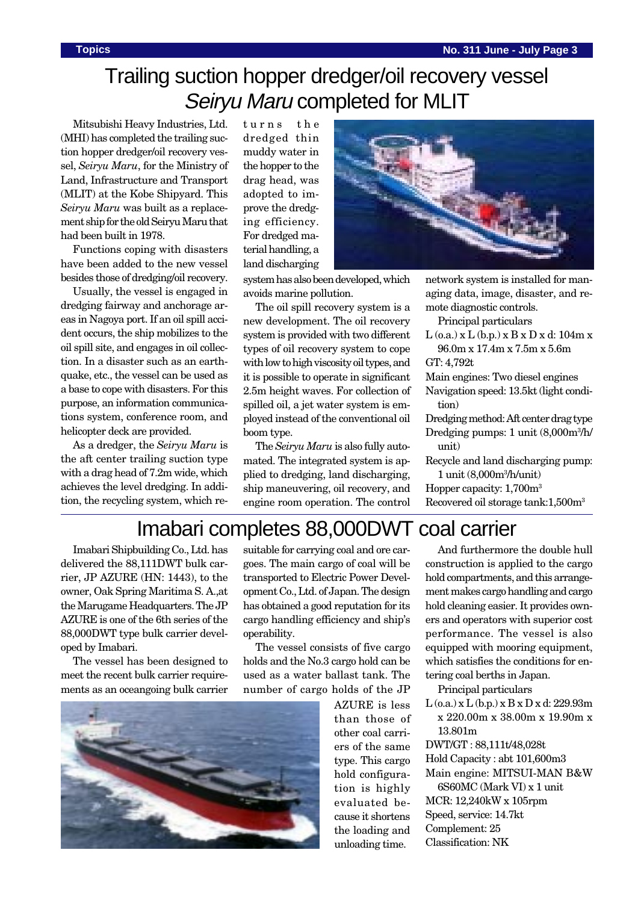# Trailing suction hopper dredger/oil recovery vessel Seiryu Maru completed for MLIT

Mitsubishi Heavy Industries, Ltd. (MHI) has completed the trailing suction hopper dredger/oil recovery vessel, *Seiryu Maru*, for the Ministry of Land, Infrastructure and Transport (MLIT) at the Kobe Shipyard. This *Seiryu Maru* was built as a replacement ship for the old Seiryu Maru that had been built in 1978.

Functions coping with disasters have been added to the new vessel besides those of dredging/oil recovery.

Usually, the vessel is engaged in dredging fairway and anchorage areas in Nagoya port. If an oil spill accident occurs, the ship mobilizes to the oil spill site, and engages in oil collection. In a disaster such as an earthquake, etc., the vessel can be used as a base to cope with disasters. For this purpose, an information communications system, conference room, and helicopter deck are provided.

As a dredger, the *Seiryu Maru* is the aft center trailing suction type with a drag head of 7.2m wide, which achieves the level dredging. In addition, the recycling system, which returns the dredged thin muddy water in the hopper to the drag head, was adopted to improve the dredging efficiency. For dredged material handling, a land discharging



system has also been developed, which avoids marine pollution.

The oil spill recovery system is a new development. The oil recovery system is provided with two different types of oil recovery system to cope with low to high viscosity oil types, and it is possible to operate in significant 2.5m height waves. For collection of spilled oil, a jet water system is employed instead of the conventional oil boom type.

The *Seiryu Maru* is also fully automated. The integrated system is applied to dredging, land discharging, ship maneuvering, oil recovery, and engine room operation. The control

network system is installed for managing data, image, disaster, and remote diagnostic controls.

Principal particulars

 $L$  (o.a.) x  $L$  (b.p.) x  $B$  x  $D$  x d: 104m x 96.0m x 17.4m x 7.5m x 5.6m

GT: 4,792t

Main engines: Two diesel engines

Navigation speed: 13.5kt (light condition)

Dredging method: Aft center drag type Dredging pumps: 1 unit (8,000m3 /h/ unit)

Recycle and land discharging pump:

1 unit (8,000m3 /h/unit) Hopper capacity: 1,700m3 Recovered oil storage tank:1,500m3

### Imabari completes 88,000DWT coal carrier

Imabari Shipbuilding Co., Ltd. has delivered the 88,111DWT bulk carrier, JP AZURE (HN: 1443), to the owner, Oak Spring Maritima S. A.,at the Marugame Headquarters. The JP AZURE is one of the 6th series of the 88,000DWT type bulk carrier developed by Imabari.

The vessel has been designed to meet the recent bulk carrier requirements as an oceangoing bulk carrier suitable for carrying coal and ore cargoes. The main cargo of coal will be transported to Electric Power Development Co., Ltd. of Japan. The design has obtained a good reputation for its cargo handling efficiency and ship's operability.

The vessel consists of five cargo holds and the No.3 cargo hold can be used as a water ballast tank. The number of cargo holds of the JP



AZURE is less than those of other coal carriers of the same type. This cargo hold configuration is highly evaluated because it shortens the loading and unloading time.

And furthermore the double hull construction is applied to the cargo hold compartments, and this arrangement makes cargo handling and cargo hold cleaning easier. It provides owners and operators with superior cost performance. The vessel is also equipped with mooring equipment, which satisfies the conditions for entering coal berths in Japan.

Principal particulars

 $L$  (o.a.) x  $L$  (b.p.) x  $B$  x  $D$  x d: 229.93m x 220.00m x 38.00m x 19.90m x 13.801m

DWT/GT : 88,111t/48,028t

Hold Capacity : abt 101,600m3

Main engine: MITSUI-MAN B&W 6S60MC (Mark VI) x 1 unit

- MCR: 12,240kW x 105rpm
- Speed, service: 14.7kt

Complement: 25

Classification: NK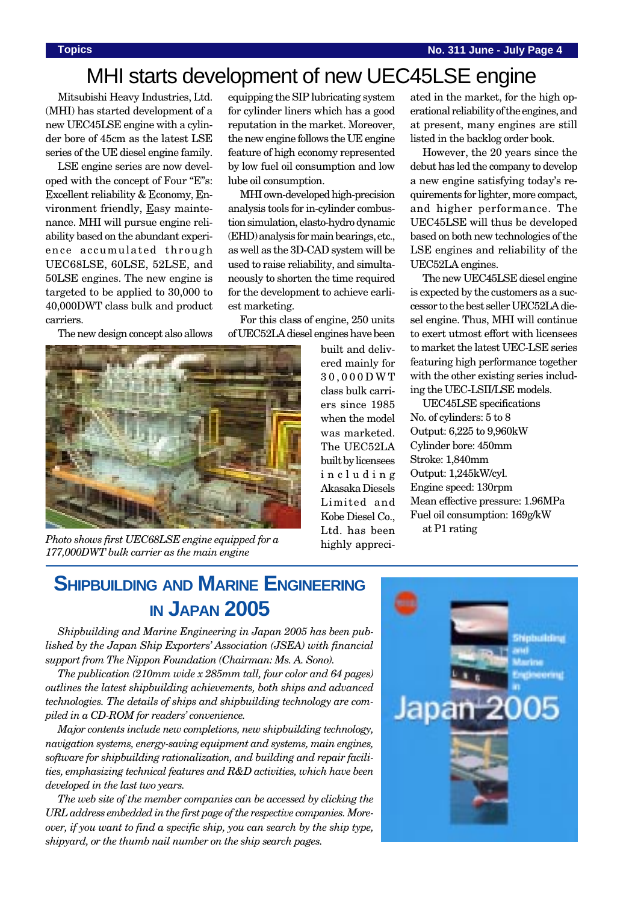## MHI starts development of new UEC45LSE engine

Mitsubishi Heavy Industries, Ltd. (MHI) has started development of a new UEC45LSE engine with a cylinder bore of 45cm as the latest LSE series of the UE diesel engine family.

LSE engine series are now developed with the concept of Four "E"s: Excellent reliability & Economy, Environment friendly, Easy maintenance. MHI will pursue engine reliability based on the abundant experience accumulated through UEC68LSE, 60LSE, 52LSE, and 50LSE engines. The new engine is targeted to be applied to 30,000 to 40,000DWT class bulk and product carriers.

The new design concept also allows

equipping the SIP lubricating system for cylinder liners which has a good reputation in the market. Moreover, the new engine follows the UE engine feature of high economy represented by low fuel oil consumption and low lube oil consumption.

MHI own-developed high-precision analysis tools for in-cylinder combustion simulation, elasto-hydro dynamic (EHD) analysis for main bearings, etc., as well as the 3D-CAD system will be used to raise reliability, and simultaneously to shorten the time required for the development to achieve earliest marketing.

For this class of engine, 250 units of UEC52LA diesel engines have been



ated in the market, for the high operational reliability of the engines, and at present, many engines are still listed in the backlog order book.

However, the 20 years since the debut has led the company to develop a new engine satisfying today's requirements for lighter, more compact, and higher performance. The UEC45LSE will thus be developed based on both new technologies of the LSE engines and reliability of the UEC52LA engines.

The new UEC45LSE diesel engine is expected by the customers as a successor to the best seller UEC52LA diesel engine. Thus, MHI will continue to exert utmost effort with licensees to market the latest UEC-LSE series featuring high performance together with the other existing series including the UEC-LSII/LSE models.

UEC45LSE specifications No. of cylinders: 5 to 8 Output: 6,225 to 9,960kW Cylinder bore: 450mm Stroke: 1,840mm Output: 1,245kW/cyl. Engine speed: 130rpm Mean effective pressure: 1.96MPa Fuel oil consumption: 169g/kW at P1 rating

*Photo shows first UEC68LSE engine equipped for a 177,000DWT bulk carrier as the main engine*

## **SHIPBUILDING AND MARINE ENGINEERING IN JAPAN 2005**

*Shipbuilding and Marine Engineering in Japan 2005 has been published by the Japan Ship Exporters' Association (JSEA) with financial support from The Nippon Foundation (Chairman: Ms. A. Sono).*

*The publication (210mm wide x 285mm tall, four color and 64 pages) outlines the latest shipbuilding achievements, both ships and advanced technologies. The details of ships and shipbuilding technology are compiled in a CD-ROM for readers' convenience.*

*Major contents include new completions, new shipbuilding technology, navigation systems, energy-saving equipment and systems, main engines, software for shipbuilding rationalization, and building and repair facilities, emphasizing technical features and R&D activities, which have been developed in the last two years.*

*The web site of the member companies can be accessed by clicking the URL address embedded in the first page of the respective companies. Moreover, if you want to find a specific ship, you can search by the ship type, shipyard, or the thumb nail number on the ship search pages.*

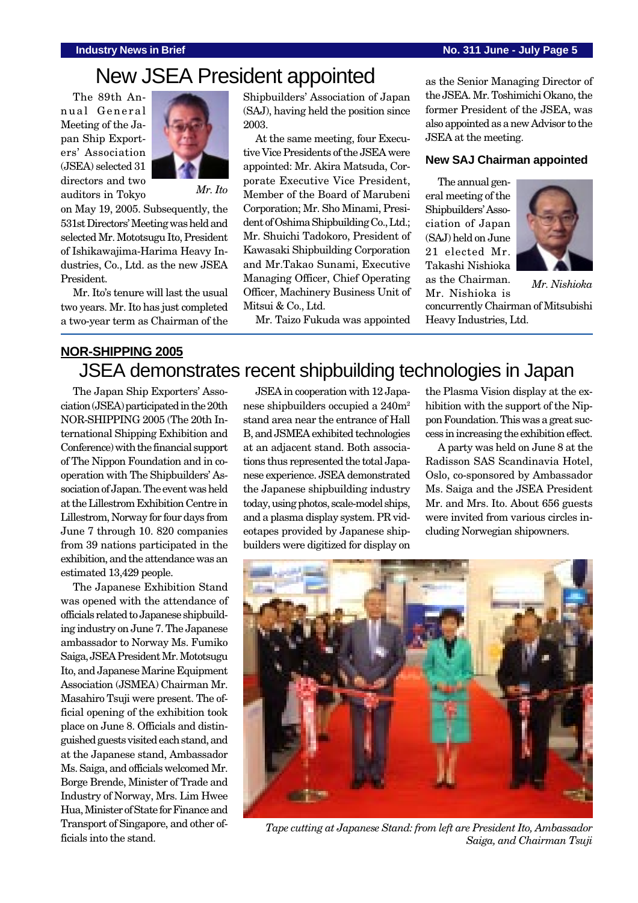#### **Industry News in Brief No. 311 June - July Page 5**

# New JSEA President appointed

The 89th Annual General Meeting of the Japan Ship Exporters' Association (JSEA) selected 31 directors and two auditors in Tokyo



*Mr. Ito*

on May 19, 2005. Subsequently, the 531st Directors' Meeting was held and selected Mr. Mototsugu Ito, President of Ishikawajima-Harima Heavy Industries, Co., Ltd. as the new JSEA President.

Mr. Ito's tenure will last the usual two years. Mr. Ito has just completed a two-year term as Chairman of the Shipbuilders' Association of Japan (SAJ), having held the position since 2003.

At the same meeting, four Executive Vice Presidents of the JSEA were appointed: Mr. Akira Matsuda, Corporate Executive Vice President, Member of the Board of Marubeni Corporation; Mr. Sho Minami, President of Oshima Shipbuilding Co., Ltd.; Mr. Shuichi Tadokoro, President of Kawasaki Shipbuilding Corporation and Mr.Takao Sunami, Executive Managing Officer, Chief Operating Officer, Machinery Business Unit of Mitsui & Co., Ltd.

Mr. Taizo Fukuda was appointed

as the Senior Managing Director of the JSEA. Mr. Toshimichi Okano, the former President of the JSEA, was also appointed as a new Advisor to the JSEA at the meeting.

#### **New SAJ Chairman appointed**

The annual general meeting of the Shipbuilders' Association of Japan (SAJ) held on June 21 elected Mr. Takashi Nishioka as the Chairman.



*Mr. Nishioka*

concurrently Chairman of Mitsubishi Heavy Industries, Ltd. Mr. Nishioka is

### **NOR-SHIPPING 2005** JSEA demonstrates recent shipbuilding technologies in Japan

The Japan Ship Exporters' Association (JSEA) participated in the 20th NOR-SHIPPING 2005 (The 20th International Shipping Exhibition and Conference) with the financial support of The Nippon Foundation and in cooperation with The Shipbuilders' Association of Japan. The event was held at the Lillestrom Exhibition Centre in Lillestrom, Norway for four days from June 7 through 10. 820 companies from 39 nations participated in the exhibition, and the attendance was an estimated 13,429 people.

The Japanese Exhibition Stand was opened with the attendance of officials related to Japanese shipbuilding industry on June 7. The Japanese ambassador to Norway Ms. Fumiko Saiga, JSEA President Mr. Mototsugu Ito, and Japanese Marine Equipment Association (JSMEA) Chairman Mr. Masahiro Tsuji were present. The official opening of the exhibition took place on June 8. Officials and distinguished guests visited each stand, and at the Japanese stand, Ambassador Ms. Saiga, and officials welcomed Mr. Borge Brende, Minister of Trade and Industry of Norway, Mrs. Lim Hwee Hua, Minister of State for Finance and Transport of Singapore, and other officials into the stand.

JSEA in cooperation with 12 Japanese shipbuilders occupied a 240m2 stand area near the entrance of Hall B, and JSMEA exhibited technologies at an adjacent stand. Both associations thus represented the total Japanese experience. JSEA demonstrated the Japanese shipbuilding industry today, using photos, scale-model ships, and a plasma display system. PR videotapes provided by Japanese shipbuilders were digitized for display on

the Plasma Vision display at the exhibition with the support of the Nippon Foundation. This was a great success in increasing the exhibition effect.

A party was held on June 8 at the Radisson SAS Scandinavia Hotel, Oslo, co-sponsored by Ambassador Ms. Saiga and the JSEA President Mr. and Mrs. Ito. About 656 guests were invited from various circles including Norwegian shipowners.



*Tape cutting at Japanese Stand: from left are President Ito, Ambassador Saiga, and Chairman Tsuji*